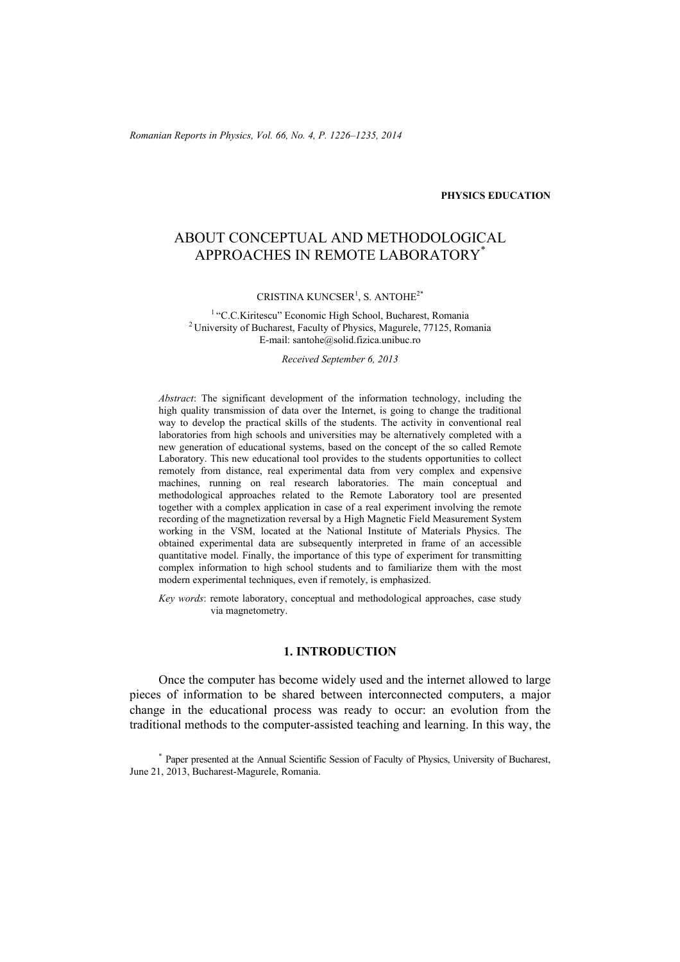*Romanian Reports in Physics, Vol. 66, No. 4, P. 1226–1235, 2014*

#### **PHYSICS EDUCATION**

# ABOUT CONCEPTUAL AND METHODOLOGICAL APPROACHES IN REMOTE LABORATORY\*

CRISTINA KUNCSER<sup>1</sup>, S. ANTOHE<sup>2\*</sup>

<sup>1</sup> "C.C.Kiritescu" Economic High School, Bucharest, Romania <sup>2</sup> University of Bucharest, Faculty of Physics, Magurele, 77125, Romania E-mail: santohe@solid.fizica.unibuc.ro

*Received September 6, 2013* 

*Abstract*: The significant development of the information technology, including the high quality transmission of data over the Internet, is going to change the traditional way to develop the practical skills of the students. The activity in conventional real laboratories from high schools and universities may be alternatively completed with a new generation of educational systems, based on the concept of the so called Remote Laboratory. This new educational tool provides to the students opportunities to collect remotely from distance, real experimental data from very complex and expensive machines, running on real research laboratories. The main conceptual and methodological approaches related to the Remote Laboratory tool are presented together with a complex application in case of a real experiment involving the remote recording of the magnetization reversal by a High Magnetic Field Measurement System working in the VSM, located at the National Institute of Materials Physics. The obtained experimental data are subsequently interpreted in frame of an accessible quantitative model. Finally, the importance of this type of experiment for transmitting complex information to high school students and to familiarize them with the most modern experimental techniques, even if remotely, is emphasized.

*Key words*: remote laboratory, conceptual and methodological approaches, case study via magnetometry.

### **1. INTRODUCTION**

Once the computer has become widely used and the internet allowed to large pieces of information to be shared between interconnected computers, a major change in the educational process was ready to occur: an evolution from the traditional methods to the computer-assisted teaching and learning. In this way, the

\* Paper presented at the Annual Scientific Session of Faculty of Physics, University of Bucharest, June 21, 2013, Bucharest-Magurele, Romania.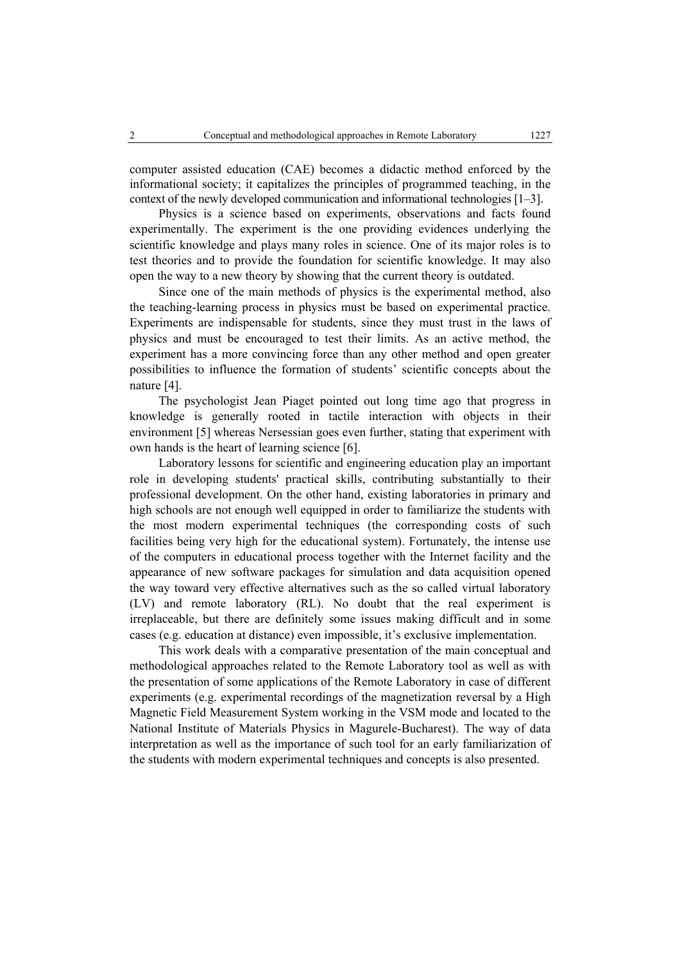computer assisted education (CAE) becomes a didactic method enforced by the informational society; it capitalizes the principles of programmed teaching, in the context of the newly developed communication and informational technologies [1–3].

Physics is a science based on experiments, observations and facts found experimentally. The experiment is the one providing evidences underlying the scientific knowledge and plays many roles in science. One of its major roles is to test theories and to provide the foundation for scientific knowledge. It may also open the way to a new theory by showing that the current theory is outdated.

Since one of the main methods of physics is the experimental method, also the teaching-learning process in physics must be based on experimental practice. Experiments are indispensable for students, since they must trust in the laws of physics and must be encouraged to test their limits. As an active method, the experiment has a more convincing force than any other method and open greater possibilities to influence the formation of students' scientific concepts about the nature [4].

The psychologist Jean Piaget pointed out long time ago that progress in knowledge is generally rooted in tactile interaction with objects in their environment [5] whereas Nersessian goes even further, stating that experiment with own hands is the heart of learning science [6].

Laboratory lessons for scientific and engineering education play an important role in developing students' practical skills, contributing substantially to their professional development. On the other hand, existing laboratories in primary and high schools are not enough well equipped in order to familiarize the students with the most modern experimental techniques (the corresponding costs of such facilities being very high for the educational system). Fortunately, the intense use of the computers in educational process together with the Internet facility and the appearance of new software packages for simulation and data acquisition opened the way toward very effective alternatives such as the so called virtual laboratory (LV) and remote laboratory (RL). No doubt that the real experiment is irreplaceable, but there are definitely some issues making difficult and in some cases (e.g. education at distance) even impossible, it's exclusive implementation.

This work deals with a comparative presentation of the main conceptual and methodological approaches related to the Remote Laboratory tool as well as with the presentation of some applications of the Remote Laboratory in case of different experiments (e.g. experimental recordings of the magnetization reversal by a High Magnetic Field Measurement System working in the VSM mode and located to the National Institute of Materials Physics in Magurele-Bucharest). The way of data interpretation as well as the importance of such tool for an early familiarization of the students with modern experimental techniques and concepts is also presented.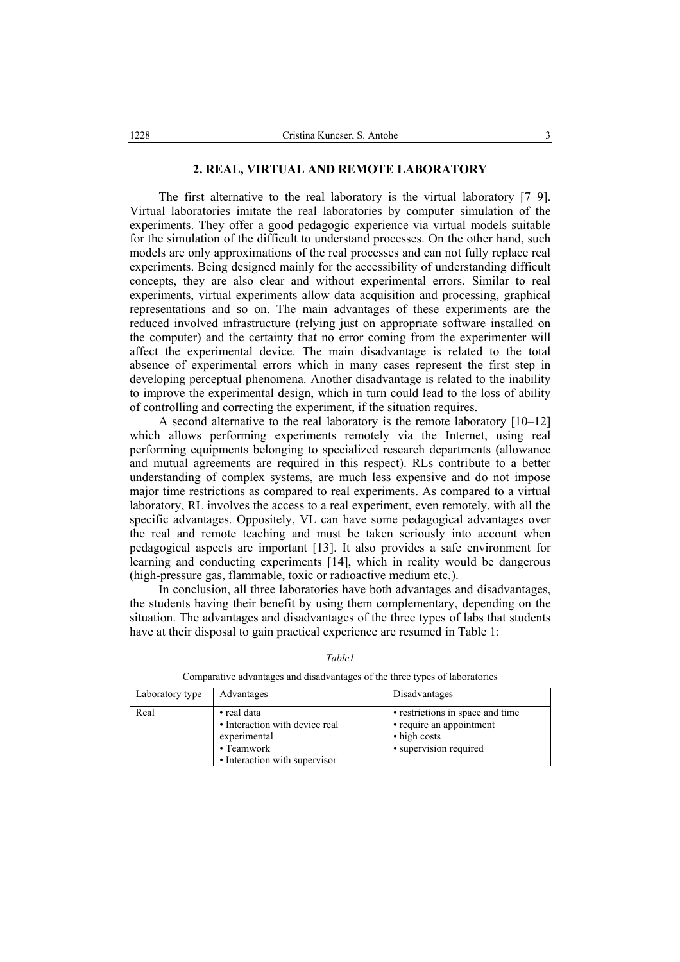The first alternative to the real laboratory is the virtual laboratory [7–9]. Virtual laboratories imitate the real laboratories by computer simulation of the experiments. They offer a good pedagogic experience via virtual models suitable for the simulation of the difficult to understand processes. On the other hand, such models are only approximations of the real processes and can not fully replace real experiments. Being designed mainly for the accessibility of understanding difficult concepts, they are also clear and without experimental errors. Similar to real experiments, virtual experiments allow data acquisition and processing, graphical representations and so on. The main advantages of these experiments are the reduced involved infrastructure (relying just on appropriate software installed on the computer) and the certainty that no error coming from the experimenter will affect the experimental device. The main disadvantage is related to the total absence of experimental errors which in many cases represent the first step in developing perceptual phenomena. Another disadvantage is related to the inability to improve the experimental design, which in turn could lead to the loss of ability of controlling and correcting the experiment, if the situation requires.

A second alternative to the real laboratory is the remote laboratory [10–12] which allows performing experiments remotely via the Internet, using real performing equipments belonging to specialized research departments (allowance and mutual agreements are required in this respect). RLs contribute to a better understanding of complex systems, are much less expensive and do not impose major time restrictions as compared to real experiments. As compared to a virtual laboratory, RL involves the access to a real experiment, even remotely, with all the specific advantages. Oppositely, VL can have some pedagogical advantages over the real and remote teaching and must be taken seriously into account when pedagogical aspects are important [13]. It also provides a safe environment for learning and conducting experiments [14], which in reality would be dangerous (high-pressure gas, flammable, toxic or radioactive medium etc.).

In conclusion, all three laboratories have both advantages and disadvantages, the students having their benefit by using them complementary, depending on the situation. The advantages and disadvantages of the three types of labs that students have at their disposal to gain practical experience are resumed in Table 1:

| Laboratory type | Advantages                                                                                                   | Disadvantages                                                                                          |
|-----------------|--------------------------------------------------------------------------------------------------------------|--------------------------------------------------------------------------------------------------------|
| Real            | • real data<br>• Interaction with device real<br>experimental<br>• Teamwork<br>• Interaction with supervisor | • restrictions in space and time<br>• require an appointment<br>• high costs<br>• supervision required |

*Table1* 

Comparative advantages and disadvantages of the three types of laboratories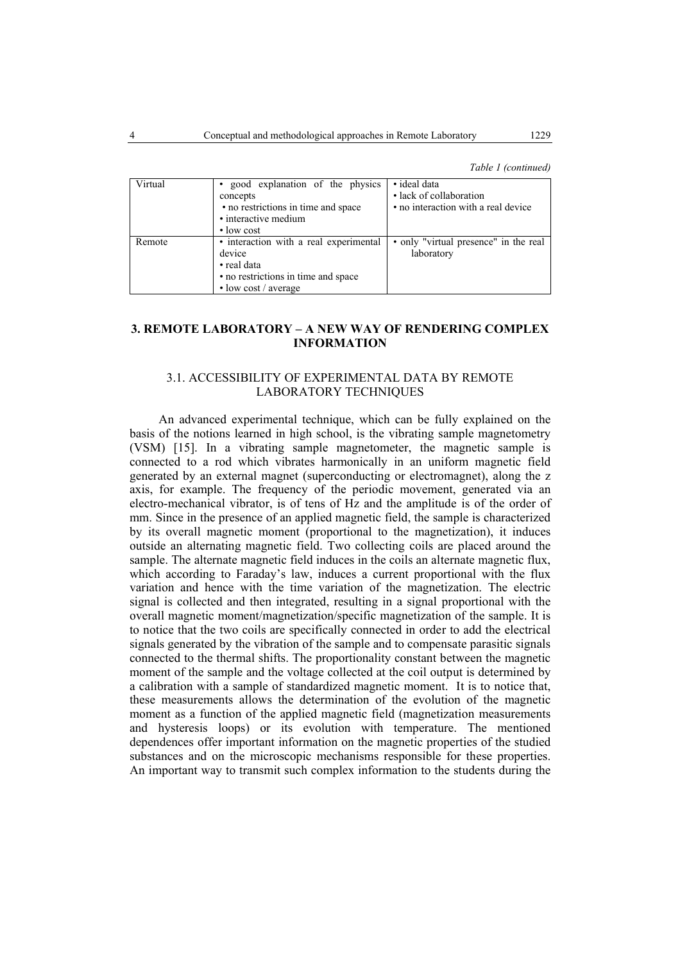*Table 1 (continued)* 

| Virtual | good explanation of the physics<br>concepts<br>• no restrictions in time and space<br>• interactive medium<br>$\cdot$ low cost       | • ideal data<br>• lack of collaboration<br>• no interaction with a real device |
|---------|--------------------------------------------------------------------------------------------------------------------------------------|--------------------------------------------------------------------------------|
| Remote  | • interaction with a real experimental<br>device<br>• real data<br>• no restrictions in time and space<br>$\cdot$ low cost / average | • only "virtual presence" in the real<br>laboratory                            |

## **3. REMOTE LABORATORY – A NEW WAY OF RENDERING COMPLEX INFORMATION**

## 3.1. ACCESSIBILITY OF EXPERIMENTAL DATA BY REMOTE LABORATORY TECHNIQUES

 An advanced experimental technique, which can be fully explained on the basis of the notions learned in high school, is the vibrating sample magnetometry (VSM) [15]. In a vibrating sample magnetometer, the magnetic sample is connected to a rod which vibrates harmonically in an uniform magnetic field generated by an external magnet (superconducting or electromagnet), along the z axis, for example. The frequency of the periodic movement, generated via an electro-mechanical vibrator, is of tens of Hz and the amplitude is of the order of mm. Since in the presence of an applied magnetic field, the sample is characterized by its overall magnetic moment (proportional to the magnetization), it induces outside an alternating magnetic field. Two collecting coils are placed around the sample. The alternate magnetic field induces in the coils an alternate magnetic flux, which according to Faraday's law, induces a current proportional with the flux variation and hence with the time variation of the magnetization. The electric signal is collected and then integrated, resulting in a signal proportional with the overall magnetic moment/magnetization/specific magnetization of the sample. It is to notice that the two coils are specifically connected in order to add the electrical signals generated by the vibration of the sample and to compensate parasitic signals connected to the thermal shifts. The proportionality constant between the magnetic moment of the sample and the voltage collected at the coil output is determined by a calibration with a sample of standardized magnetic moment. It is to notice that, these measurements allows the determination of the evolution of the magnetic moment as a function of the applied magnetic field (magnetization measurements and hysteresis loops) or its evolution with temperature. The mentioned dependences offer important information on the magnetic properties of the studied substances and on the microscopic mechanisms responsible for these properties. An important way to transmit such complex information to the students during the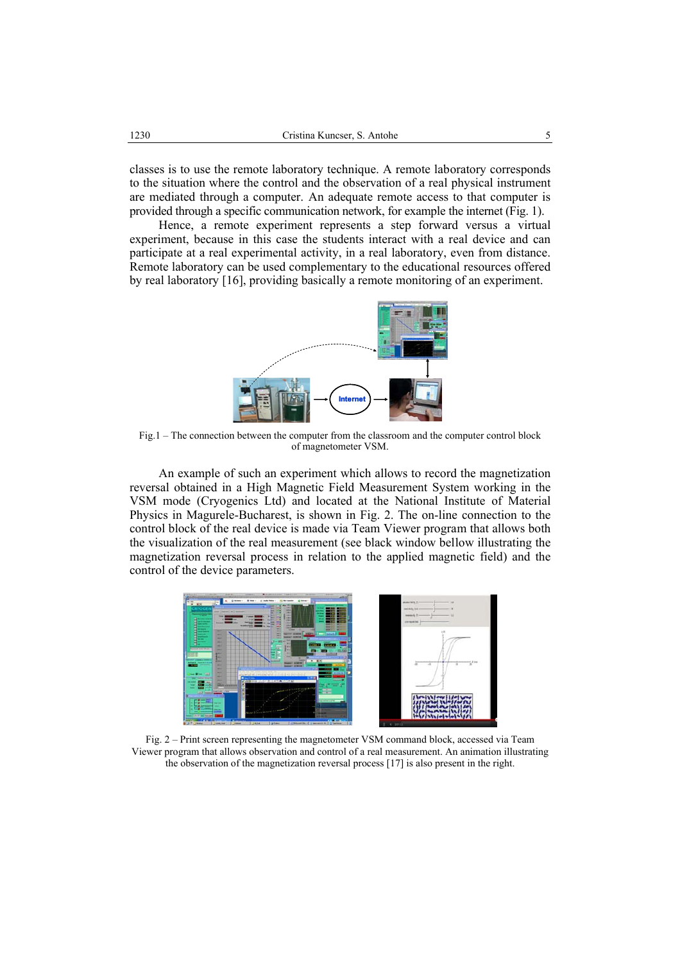classes is to use the remote laboratory technique. A remote laboratory corresponds to the situation where the control and the observation of a real physical instrument are mediated through a computer. An adequate remote access to that computer is provided through a specific communication network, for example the internet (Fig. 1).

 Hence, a remote experiment represents a step forward versus a virtual experiment, because in this case the students interact with a real device and can participate at a real experimental activity, in a real laboratory, even from distance. Remote laboratory can be used complementary to the educational resources offered by real laboratory [16], providing basically a remote monitoring of an experiment.



Fig.1 – The connection between the computer from the classroom and the computer control block of magnetometer VSM.

An example of such an experiment which allows to record the magnetization reversal obtained in a High Magnetic Field Measurement System working in the VSM mode (Cryogenics Ltd) and located at the National Institute of Material Physics in Magurele-Bucharest, is shown in Fig. 2. The on-line connection to the control block of the real device is made via Team Viewer program that allows both the visualization of the real measurement (see black window bellow illustrating the magnetization reversal process in relation to the applied magnetic field) and the control of the device parameters.



Fig. 2 – Print screen representing the magnetometer VSM command block, accessed via Team Viewer program that allows observation and control of a real measurement. An animation illustrating the observation of the magnetization reversal process [17] is also present in the right.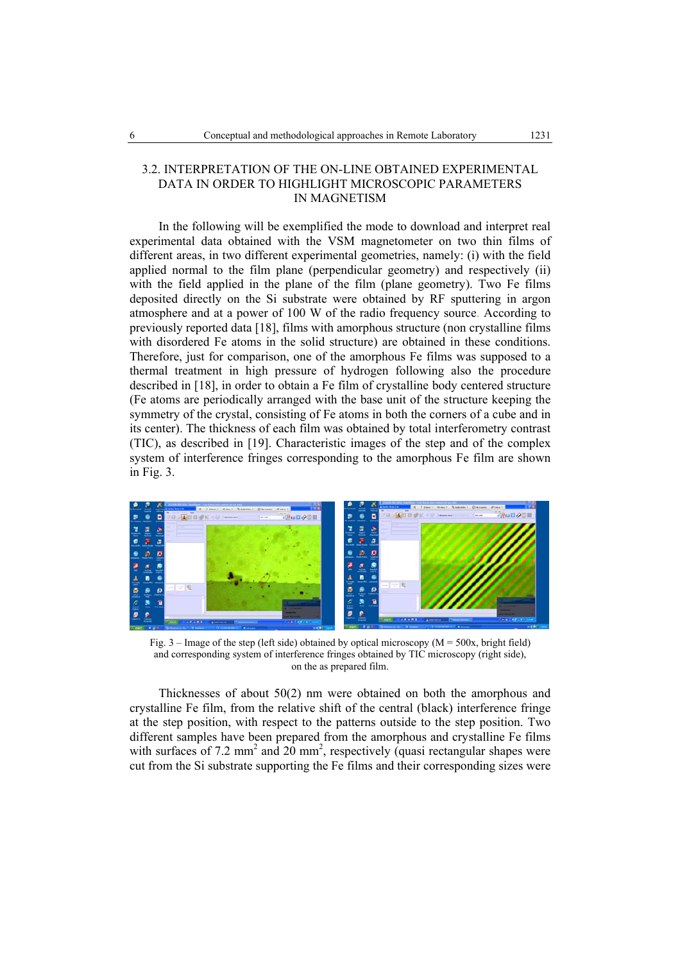## 3.2. INTERPRETATION OF THE ON-LINE OBTAINED EXPERIMENTAL DATA IN ORDER TO HIGHLIGHT MICROSCOPIC PARAMETERS IN MAGNETISM

In the following will be exemplified the mode to download and interpret real experimental data obtained with the VSM magnetometer on two thin films of different areas, in two different experimental geometries, namely: (i) with the field applied normal to the film plane (perpendicular geometry) and respectively (ii) with the field applied in the plane of the film (plane geometry). Two Fe films deposited directly on the Si substrate were obtained by RF sputtering in argon atmosphere and at a power of 100 W of the radio frequency source. According to previously reported data [18], films with amorphous structure (non crystalline films with disordered Fe atoms in the solid structure) are obtained in these conditions. Therefore, just for comparison, one of the amorphous Fe films was supposed to a thermal treatment in high pressure of hydrogen following also the procedure described in [18], in order to obtain a Fe film of crystalline body centered structure (Fe atoms are periodically arranged with the base unit of the structure keeping the symmetry of the crystal, consisting of Fe atoms in both the corners of a cube and in its center). The thickness of each film was obtained by total interferometry contrast (TIC), as described in [19]. Characteristic images of the step and of the complex system of interference fringes corresponding to the amorphous Fe film are shown in Fig. 3.



Fig.  $3$  – Image of the step (left side) obtained by optical microscopy ( $M = 500x$ , bright field) and corresponding system of interference fringes obtained by TIC microscopy (right side), on the as prepared film.

 Thicknesses of about 50(2) nm were obtained on both the amorphous and crystalline Fe film, from the relative shift of the central (black) interference fringe at the step position, with respect to the patterns outside to the step position. Two different samples have been prepared from the amorphous and crystalline Fe films with surfaces of 7.2 mm<sup>2</sup> and 20 mm<sup>2</sup>, respectively (quasi rectangular shapes were cut from the Si substrate supporting the Fe films and their corresponding sizes were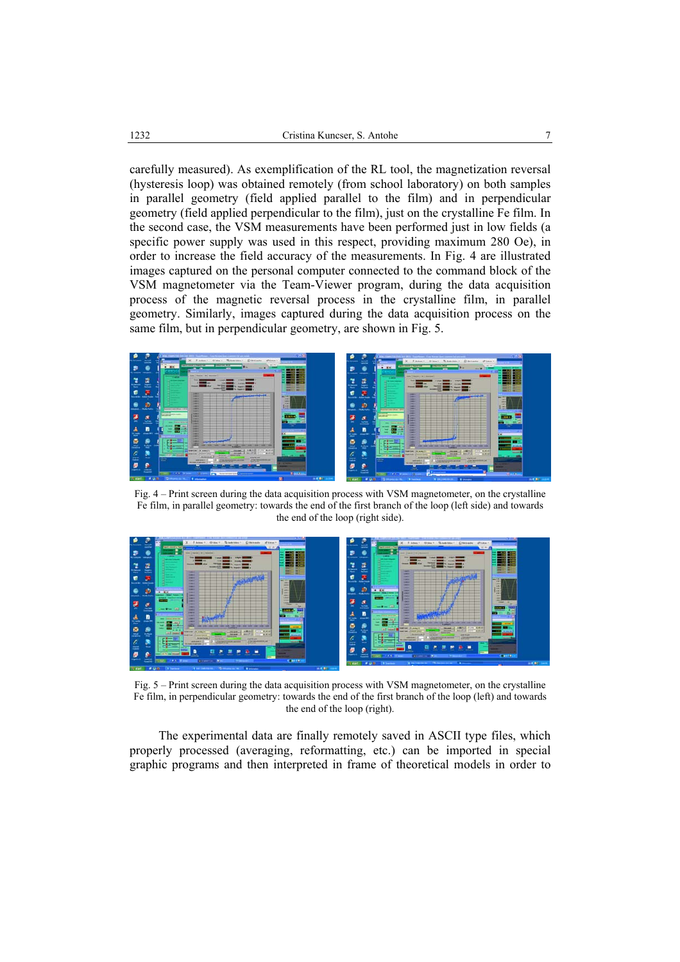carefully measured). As exemplification of the RL tool, the magnetization reversal (hysteresis loop) was obtained remotely (from school laboratory) on both samples in parallel geometry (field applied parallel to the film) and in perpendicular geometry (field applied perpendicular to the film), just on the crystalline Fe film. In the second case, the VSM measurements have been performed just in low fields (a specific power supply was used in this respect, providing maximum 280 Oe), in order to increase the field accuracy of the measurements. In Fig. 4 are illustrated images captured on the personal computer connected to the command block of the VSM magnetometer via the Team-Viewer program, during the data acquisition process of the magnetic reversal process in the crystalline film, in parallel geometry. Similarly, images captured during the data acquisition process on the same film, but in perpendicular geometry, are shown in Fig. 5.



Fig. 4 – Print screen during the data acquisition process with VSM magnetometer, on the crystalline Fe film, in parallel geometry: towards the end of the first branch of the loop (left side) and towards the end of the loop (right side).



Fig. 5 – Print screen during the data acquisition process with VSM magnetometer, on the crystalline Fe film, in perpendicular geometry: towards the end of the first branch of the loop (left) and towards the end of the loop (right).

 The experimental data are finally remotely saved in ASCII type files, which properly processed (averaging, reformatting, etc.) can be imported in special graphic programs and then interpreted in frame of theoretical models in order to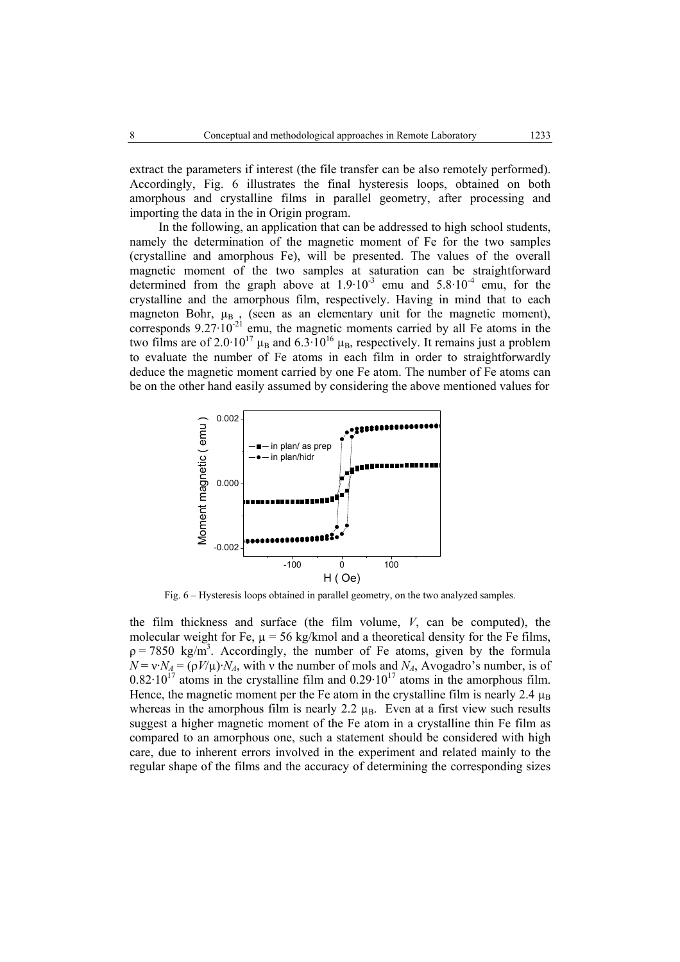extract the parameters if interest (the file transfer can be also remotely performed). Accordingly, Fig. 6 illustrates the final hysteresis loops, obtained on both amorphous and crystalline films in parallel geometry, after processing and importing the data in the in Origin program.

In the following, an application that can be addressed to high school students, namely the determination of the magnetic moment of Fe for the two samples (crystalline and amorphous Fe), will be presented. The values of the overall magnetic moment of the two samples at saturation can be straightforward determined from the graph above at  $1.9 \cdot 10^{-3}$  emu and  $5.8 \cdot 10^{-4}$  emu, for the crystalline and the amorphous film, respectively. Having in mind that to each magneton Bohr,  $\mu_B$ , (seen as an elementary unit for the magnetic moment), corresponds  $9.27 \cdot 10^{-21}$  emu, the magnetic moments carried by all Fe atoms in the two films are of 2.0·10<sup>17</sup>  $\mu_B$  and 6.3·10<sup>16</sup>  $\mu_B$ , respectively. It remains just a problem to evaluate the number of Fe atoms in each film in order to straightforwardly deduce the magnetic moment carried by one Fe atom. The number of Fe atoms can be on the other hand easily assumed by considering the above mentioned values for



Fig. 6 – Hysteresis loops obtained in parallel geometry, on the two analyzed samples.

the film thickness and surface (the film volume, *V*, can be computed), the molecular weight for Fe,  $\mu = 56$  kg/kmol and a theoretical density for the Fe films,  $p = 7850 \text{ kg/m}^3$ . Accordingly, the number of Fe atoms, given by the formula  $N = v \cdot N_A = (\rho V/\mu) \cdot N_A$ , with v the number of mols and  $N_A$ , Avogadro's number, is of  $0.82 \cdot 10^{17}$  atoms in the crystalline film and  $0.29 \cdot 10^{17}$  atoms in the amorphous film. Hence, the magnetic moment per the Fe atom in the crystalline film is nearly 2.4  $\mu_B$ whereas in the amorphous film is nearly 2.2  $\mu_B$ . Even at a first view such results suggest a higher magnetic moment of the Fe atom in a crystalline thin Fe film as compared to an amorphous one, such a statement should be considered with high care, due to inherent errors involved in the experiment and related mainly to the regular shape of the films and the accuracy of determining the corresponding sizes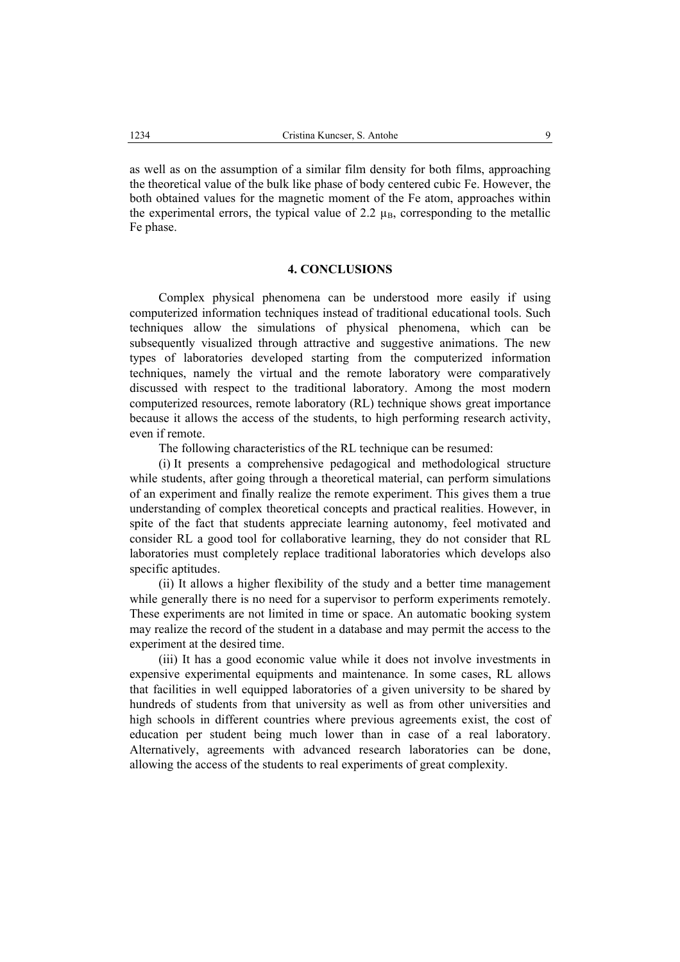as well as on the assumption of a similar film density for both films, approaching the theoretical value of the bulk like phase of body centered cubic Fe. However, the both obtained values for the magnetic moment of the Fe atom, approaches within the experimental errors, the typical value of 2.2  $\mu_B$ , corresponding to the metallic Fe phase.

#### **4. CONCLUSIONS**

Complex physical phenomena can be understood more easily if using computerized information techniques instead of traditional educational tools. Such techniques allow the simulations of physical phenomena, which can be subsequently visualized through attractive and suggestive animations. The new types of laboratories developed starting from the computerized information techniques, namely the virtual and the remote laboratory were comparatively discussed with respect to the traditional laboratory. Among the most modern computerized resources, remote laboratory (RL) technique shows great importance because it allows the access of the students, to high performing research activity, even if remote.

The following characteristics of the RL technique can be resumed:

 (i) It presents a comprehensive pedagogical and methodological structure while students, after going through a theoretical material, can perform simulations of an experiment and finally realize the remote experiment. This gives them a true understanding of complex theoretical concepts and practical realities. However, in spite of the fact that students appreciate learning autonomy, feel motivated and consider RL a good tool for collaborative learning, they do not consider that RL laboratories must completely replace traditional laboratories which develops also specific aptitudes.

 (ii) It allows a higher flexibility of the study and a better time management while generally there is no need for a supervisor to perform experiments remotely. These experiments are not limited in time or space. An automatic booking system may realize the record of the student in a database and may permit the access to the experiment at the desired time.

(iii) It has a good economic value while it does not involve investments in expensive experimental equipments and maintenance. In some cases, RL allows that facilities in well equipped laboratories of a given university to be shared by hundreds of students from that university as well as from other universities and high schools in different countries where previous agreements exist, the cost of education per student being much lower than in case of a real laboratory. Alternatively, agreements with advanced research laboratories can be done, allowing the access of the students to real experiments of great complexity.